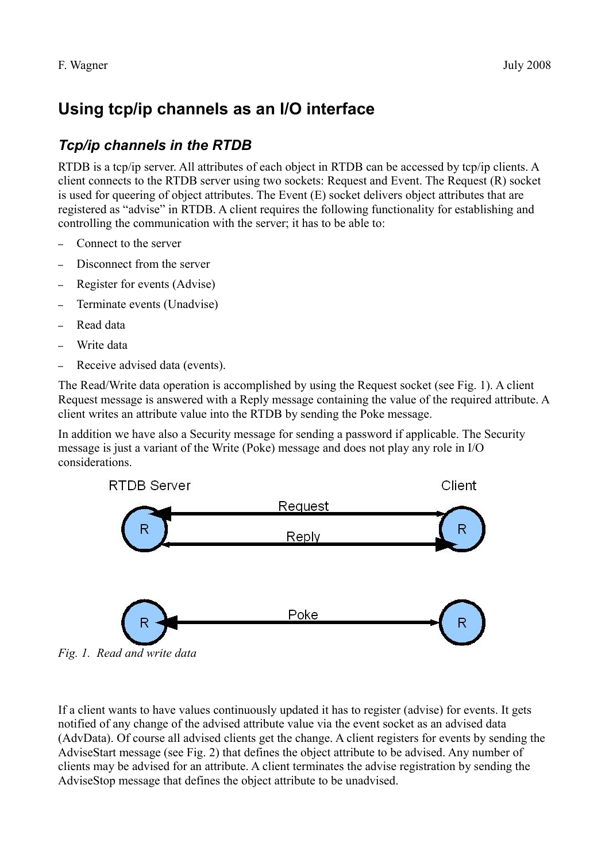# **Using tcp/ip channels as an I/O interface**

## *Tcp/ip channels in the RTDB*

RTDB is a tcp/ip server. All attributes of each object in RTDB can be accessed by tcp/ip clients. A client connects to the RTDB server using two sockets: Request and Event. The Request (R) socket is used for queering of object attributes. The Event (E) socket delivers object attributes that are registered as "advise" in RTDB. A client requires the following functionality for establishing and controlling the communication with the server; it has to be able to:

- Connect to the server
- Disconnect from the server
- Register for events (Advise)
- Terminate events (Unadvise)
- Read data
- Write data
- Receive advised data (events).

The Read/Write data operation is accomplished by using the Request socket (see [Fig. 1\)](#page-0-0). A client Request message is answered with a Reply message containing the value of the required attribute. A client writes an attribute value into the RTDB by sending the Poke message.

In addition we have also a Security message for sending a password if applicable. The Security message is just a variant of the Write (Poke) message and does not play any role in I/O considerations.



<span id="page-0-0"></span>*Fig. 1. Read and write data*

If a client wants to have values continuously updated it has to register (advise) for events. It gets notified of any change of the advised attribute value via the event socket as an advised data (AdvData). Of course all advised clients get the change. A client registers for events by sending the AdviseStart message (see [Fig. 2\)](#page-1-0) that defines the object attribute to be advised. Any number of clients may be advised for an attribute. A client terminates the advise registration by sending the AdviseStop message that defines the object attribute to be unadvised.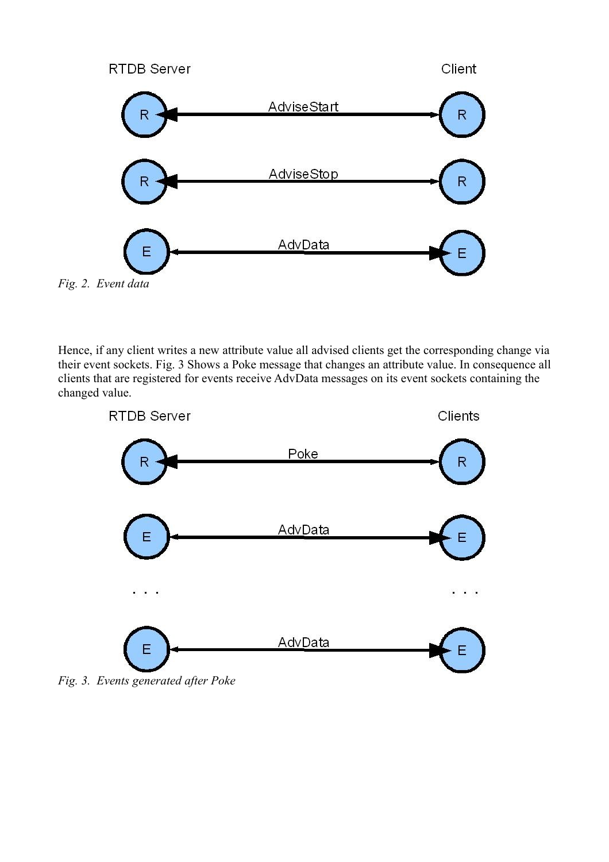

<span id="page-1-0"></span>

Hence, if any client writes a new attribute value all advised clients get the corresponding change via their event sockets. [Fig. 3](#page-1-1) Shows a Poke message that changes an attribute value. In consequence all clients that are registered for events receive AdvData messages on its event sockets containing the changed value.



<span id="page-1-1"></span>*Fig. 3. Events generated after Poke*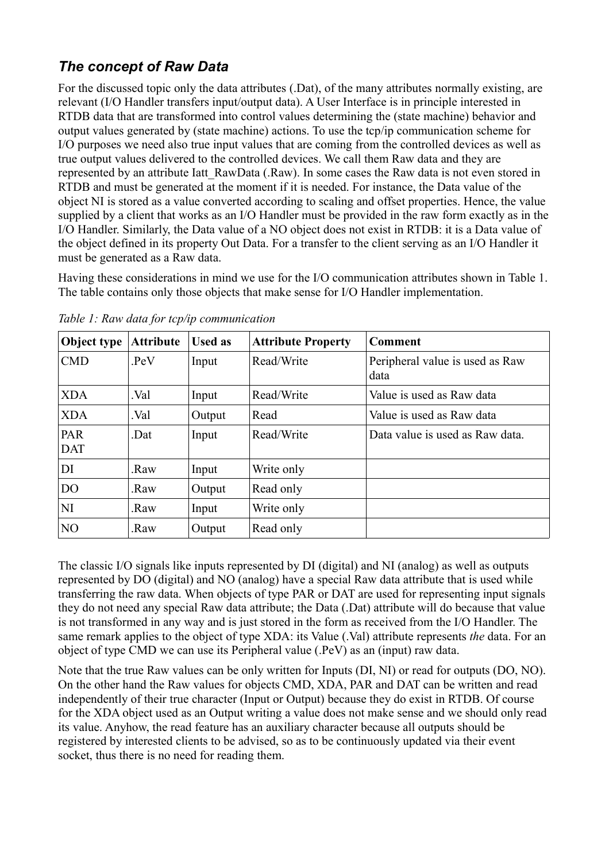## *The concept of Raw Data*

For the discussed topic only the data attributes (.Dat), of the many attributes normally existing, are relevant (I/O Handler transfers input/output data). A User Interface is in principle interested in RTDB data that are transformed into control values determining the (state machine) behavior and output values generated by (state machine) actions. To use the tcp/ip communication scheme for I/O purposes we need also true input values that are coming from the controlled devices as well as true output values delivered to the controlled devices. We call them Raw data and they are represented by an attribute Iatt RawData (.Raw). In some cases the Raw data is not even stored in RTDB and must be generated at the moment if it is needed. For instance, the Data value of the object NI is stored as a value converted according to scaling and offset properties. Hence, the value supplied by a client that works as an I/O Handler must be provided in the raw form exactly as in the I/O Handler. Similarly, the Data value of a NO object does not exist in RTDB: it is a Data value of the object defined in its property Out Data. For a transfer to the client serving as an I/O Handler it must be generated as a Raw data.

Having these considerations in mind we use for the I/O communication attributes shown in [Table 1.](#page-2-0) The table contains only those objects that make sense for I/O Handler implementation.

| Object type              | <b>Attribute</b> | <b>Used as</b> | <b>Attribute Property</b> | <b>Comment</b>                          |
|--------------------------|------------------|----------------|---------------------------|-----------------------------------------|
| CMD                      | PeV              | Input          | Read/Write                | Peripheral value is used as Raw<br>data |
| <b>XDA</b>               | Val.             | Input          | Read/Write                | Value is used as Raw data               |
| <b>XDA</b>               | Val.             | Output         | Read                      | Value is used as Raw data               |
| <b>PAR</b><br><b>DAT</b> | .Dat             | Input          | Read/Write                | Data value is used as Raw data.         |
| DI                       | .Raw             | Input          | Write only                |                                         |
| D <sub>O</sub>           | .Raw             | Output         | Read only                 |                                         |
| NI                       | .Raw             | Input          | Write only                |                                         |
| N <sub>O</sub>           | .Raw             | Output         | Read only                 |                                         |

<span id="page-2-0"></span>*Table 1: Raw data for tcp/ip communication*

The classic I/O signals like inputs represented by DI (digital) and NI (analog) as well as outputs represented by DO (digital) and NO (analog) have a special Raw data attribute that is used while transferring the raw data. When objects of type PAR or DAT are used for representing input signals they do not need any special Raw data attribute; the Data (.Dat) attribute will do because that value is not transformed in any way and is just stored in the form as received from the I/O Handler. The same remark applies to the object of type XDA: its Value (.Val) attribute represents *the* data. For an object of type CMD we can use its Peripheral value (.PeV) as an (input) raw data.

Note that the true Raw values can be only written for Inputs (DI, NI) or read for outputs (DO, NO). On the other hand the Raw values for objects CMD, XDA, PAR and DAT can be written and read independently of their true character (Input or Output) because they do exist in RTDB. Of course for the XDA object used as an Output writing a value does not make sense and we should only read its value. Anyhow, the read feature has an auxiliary character because all outputs should be registered by interested clients to be advised, so as to be continuously updated via their event socket, thus there is no need for reading them.